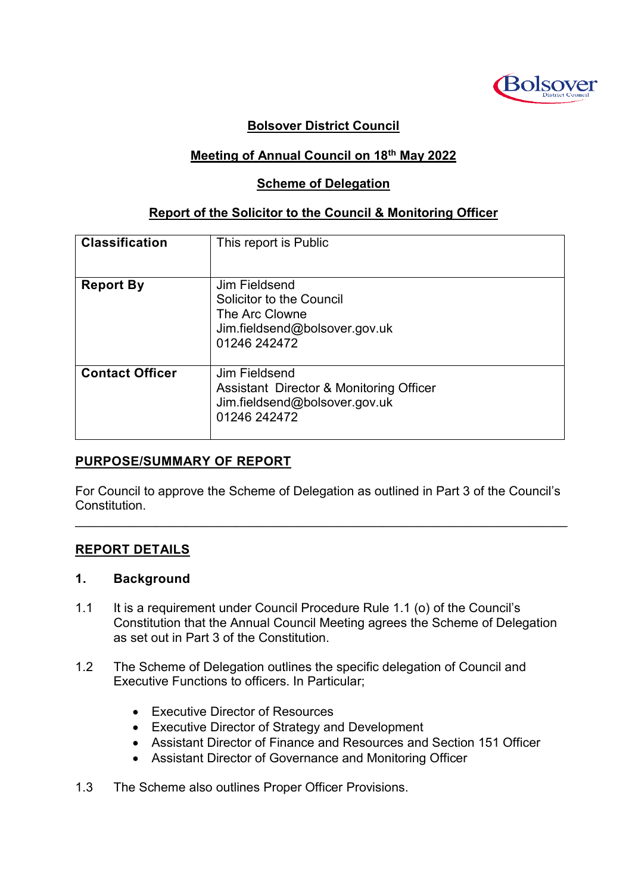

## **Bolsover District Council**

## **Meeting of Annual Council on 18th May 2022**

#### **Scheme of Delegation**

### **Report of the Solicitor to the Council & Monitoring Officer**

| <b>Classification</b>  | This report is Public                                                                                        |
|------------------------|--------------------------------------------------------------------------------------------------------------|
| <b>Report By</b>       | Jim Fieldsend<br>Solicitor to the Council<br>The Arc Clowne<br>Jim.fieldsend@bolsover.gov.uk<br>01246 242472 |
| <b>Contact Officer</b> | Jim Fieldsend<br>Assistant Director & Monitoring Officer<br>Jim.fieldsend@bolsover.gov.uk<br>01246 242472    |

#### **PURPOSE/SUMMARY OF REPORT**

For Council to approve the Scheme of Delegation as outlined in Part 3 of the Council's Constitution.

 $\mathcal{L}_\mathcal{L} = \mathcal{L}_\mathcal{L} = \mathcal{L}_\mathcal{L} = \mathcal{L}_\mathcal{L} = \mathcal{L}_\mathcal{L} = \mathcal{L}_\mathcal{L} = \mathcal{L}_\mathcal{L} = \mathcal{L}_\mathcal{L} = \mathcal{L}_\mathcal{L} = \mathcal{L}_\mathcal{L} = \mathcal{L}_\mathcal{L} = \mathcal{L}_\mathcal{L} = \mathcal{L}_\mathcal{L} = \mathcal{L}_\mathcal{L} = \mathcal{L}_\mathcal{L} = \mathcal{L}_\mathcal{L} = \mathcal{L}_\mathcal{L}$ 

#### **REPORT DETAILS**

#### **1. Background**

- 1.1 It is a requirement under Council Procedure Rule 1.1 (o) of the Council's Constitution that the Annual Council Meeting agrees the Scheme of Delegation as set out in Part 3 of the Constitution.
- 1.2 The Scheme of Delegation outlines the specific delegation of Council and Executive Functions to officers. In Particular;
	- Executive Director of Resources
	- Executive Director of Strategy and Development
	- Assistant Director of Finance and Resources and Section 151 Officer
	- Assistant Director of Governance and Monitoring Officer
- 1.3 The Scheme also outlines Proper Officer Provisions.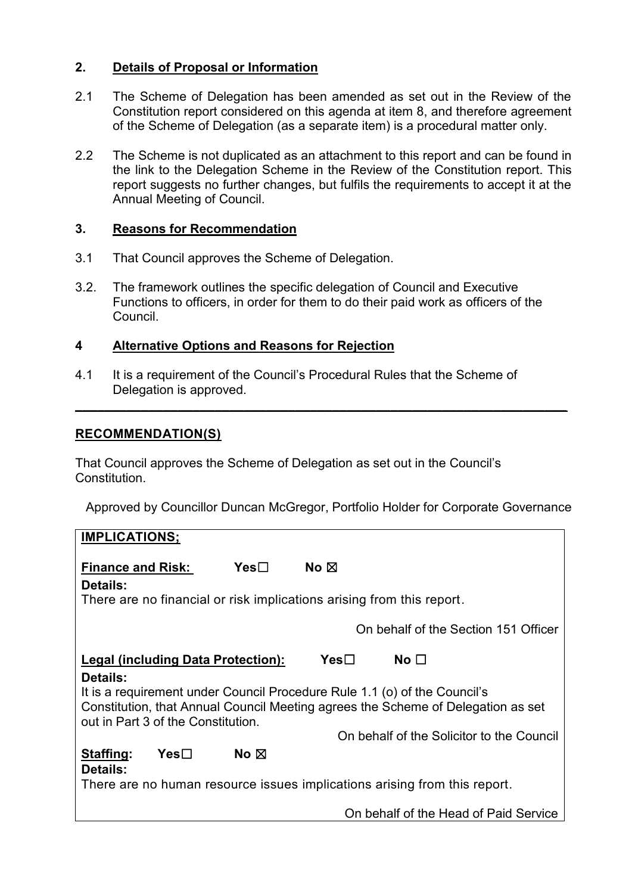## **2. Details of Proposal or Information**

- 2.1 The Scheme of Delegation has been amended as set out in the Review of the Constitution report considered on this agenda at item 8, and therefore agreement of the Scheme of Delegation (as a separate item) is a procedural matter only.
- 2.2 The Scheme is not duplicated as an attachment to this report and can be found in the link to the Delegation Scheme in the Review of the Constitution report. This report suggests no further changes, but fulfils the requirements to accept it at the Annual Meeting of Council.

### **3. Reasons for Recommendation**

- 3.1 That Council approves the Scheme of Delegation.
- 3.2. The framework outlines the specific delegation of Council and Executive Functions to officers, in order for them to do their paid work as officers of the Council.

## **4 Alternative Options and Reasons for Rejection**

4.1 It is a requirement of the Council's Procedural Rules that the Scheme of Delegation is approved.

**\_\_\_\_\_\_\_\_\_\_\_\_\_\_\_\_\_\_\_\_\_\_\_\_\_\_\_\_\_\_\_\_\_\_\_\_\_\_\_\_\_\_\_\_\_\_\_\_\_\_\_\_\_\_\_\_\_\_\_\_\_\_\_\_\_\_\_**

## **RECOMMENDATION(S)**

That Council approves the Scheme of Delegation as set out in the Council's Constitution.

Approved by Councillor Duncan McGregor, Portfolio Holder for Corporate Governance

| <b>IMPLICATIONS;</b>                                                                                                                                                                                            |  |  |  |
|-----------------------------------------------------------------------------------------------------------------------------------------------------------------------------------------------------------------|--|--|--|
| Yes<br>No $\boxtimes$<br><b>Finance and Risk:</b><br>Details:                                                                                                                                                   |  |  |  |
| There are no financial or risk implications arising from this report.                                                                                                                                           |  |  |  |
|                                                                                                                                                                                                                 |  |  |  |
| On behalf of the Section 151 Officer                                                                                                                                                                            |  |  |  |
| Legal (including Data Protection):<br>Yes⊟<br>No $\square$                                                                                                                                                      |  |  |  |
| Details:<br>It is a requirement under Council Procedure Rule 1.1 (o) of the Council's<br>Constitution, that Annual Council Meeting agrees the Scheme of Delegation as set<br>out in Part 3 of the Constitution. |  |  |  |
| On behalf of the Solicitor to the Council                                                                                                                                                                       |  |  |  |
| No $\boxtimes$<br>Staffing:<br>Yes<br>Details:                                                                                                                                                                  |  |  |  |
| There are no human resource issues implications arising from this report.                                                                                                                                       |  |  |  |
| On behalf of the Head of Paid Service                                                                                                                                                                           |  |  |  |